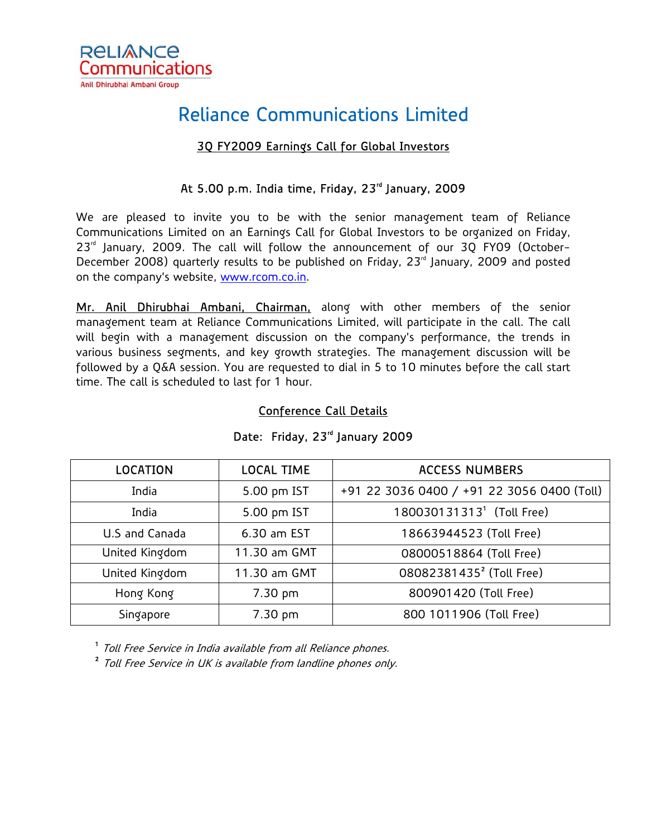

# Reliance Communications Limited

## 3Q FY2009 Earnings Call for Global Investors

# At 5.00 p.m. India time, Friday, 23<sup>rd</sup> January, 2009

We are pleased to invite you to be with the senior management team of Reliance Communications Limited on an Earnings Call for Global Investors to be organized on Friday,  $23<sup>rd</sup>$  January, 2009. The call will follow the announcement of our 30 FY09 (October-December 2008) quarterly results to be published on Friday, 23<sup>rd</sup> January, 2009 and posted on the company's website, www.rcom.co.in.

Mr. Anil Dhirubhai Ambani, Chairman, along with other members of the senior management team at Reliance Communications Limited, will participate in the call. The call will begin with a management discussion on the company's performance, the trends in various business segments, and key growth strategies. The management discussion will be followed by a Q&A session. You are requested to dial in 5 to 10 minutes before the call start time. The call is scheduled to last for 1 hour.

#### Conference Call Details

| <b>LOCATION</b> | <b>LOCAL TIME</b> | <b>ACCESS NUMBERS</b>                      |  |
|-----------------|-------------------|--------------------------------------------|--|
| India           | 5.00 pm IST       | +91 22 3036 0400 / +91 22 3056 0400 (Toll) |  |
| India           | 5.00 pm IST       | 180030131313 <sup>1</sup> (Toll Free)      |  |
| U.S and Canada  | 6.30 am EST       | 18663944523 (Toll Free)                    |  |
| United Kingdom  | 11.30 am GMT      | 08000518864 (Toll Free)                    |  |
| United Kingdom  | 11.30 am GMT      | 08082381435 <sup>2</sup> (Toll Free)       |  |
| Hong Kong       | 7.30 pm           | 800901420 (Toll Free)                      |  |
| Singapore       | 7.30 pm           | 800 1011906 (Toll Free)                    |  |

## Date: Friday, 23<sup>rd</sup> January 2009

<sup>1</sup> Toll Free Service in India available from all Reliance phones.

<sup>2</sup> Toll Free Service in UK is available from landline phones only.